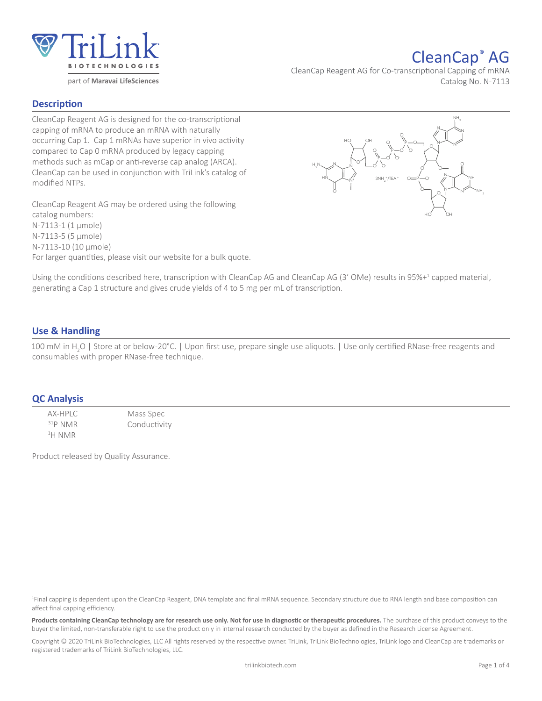

# CleanCap® AG

CleanCap Reagent AG for Co-transcriptional Capping of mRNA Catalog No. N-7113

## **Description**

CleanCap Reagent AG is designed for the co-transcriptional capping of mRNA to produce an mRNA with naturally occurring Cap 1. Cap 1 mRNAs have superior in vivo activity compared to Cap 0 mRNA produced by legacy capping methods such as mCap or anti-reverse cap analog (ARCA). CleanCap can be used in conjunction with TriLink's catalog of modified NTPs.

CleanCap Reagent AG may be ordered using the following catalog numbers: N-7113-1 (1 μmole) N-7113-5 (5 μmole) N-7113-10 (10 μmole) For larger quantities, please visit our website for a bulk quote.



Using the conditions described here, transcription with CleanCap AG and CleanCap AG (3' OMe) results in 95%+<sup>1</sup> capped material, generating a Cap 1 structure and gives crude yields of 4 to 5 mg per mL of transcription.

# **Use & Handling**

100 mM in H<sub>2</sub>O | Store at or below-20°C. | Upon first use, prepare single use aliquots. | Use only certified RNase-free reagents and consumables with proper RNase-free technique.

## **QC Analysis**

AX-HPLC Mass Spec<br>
AND MAR Conductivi Conductivity 1 H NMR

Product released by Quality Assurance.

1 Final capping is dependent upon the CleanCap Reagent, DNA template and final mRNA sequence. Secondary structure due to RNA length and base composition can affect final capping efficiency.

Products containing CleanCap technology are for research use only. Not for use in diagnostic or therapeutic procedures. The purchase of this product conveys to the buyer the limited, non-transferable right to use the product only in internal research conducted by the buyer as defined in the Research License Agreement.

Copyright © 2020 TriLink BioTechnologies, LLC All rights reserved by the respective owner. TriLink, TriLink BioTechnologies, TriLink logo and CleanCap are trademarks or registered trademarks of TriLink BioTechnologies, LLC.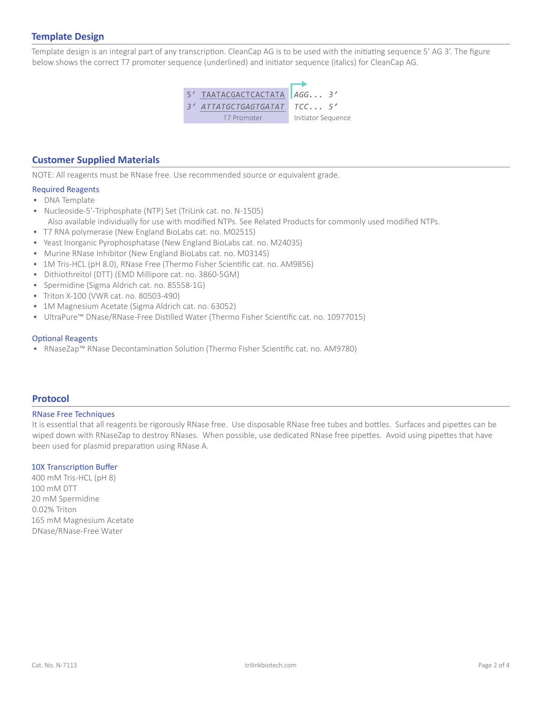# **Template Design**

Template design is an integral part of any transcription. CleanCap AG is to be used with the initiating sequence 5' AG 3'. The figure below shows the correct T7 promoter sequence (underlined) and initiator sequence (italics) for CleanCap AG.



### **Customer Supplied Materials**

NOTE: All reagents must be RNase free. Use recommended source or equivalent grade.

## Required Reagents

- DNA Template
- Nucleoside-5'-Triphosphate (NTP) Set (TriLink cat. no. N-1505) Also available individually for use with modified NTPs. See Related Products for commonly used modified NTPs.
- T7 RNA polymerase (New England BioLabs cat. no. M0251S)
- Yeast Inorganic Pyrophosphatase (New England BioLabs cat. no. M2403S)
- Murine RNase Inhibitor (New England BioLabs cat. no. M0314S)
- 1M Tris-HCL (pH 8.0), RNase Free (Thermo Fisher Scientific cat. no. AM9856)
- Dithiothreitol (DTT) (EMD Millipore cat. no. 3860-5GM)
- Spermidine (Sigma Aldrich cat. no. 85558-1G)
- Triton X-100 (VWR cat. no. 80503-490)
- 1M Magnesium Acetate (Sigma Aldrich cat. no. 63052)
- UltraPure™ DNase/RNase-Free Distilled Water (Thermo Fisher Scientific cat. no. 10977015)

#### Optional Reagents

• RNaseZap™ RNase Decontamination Solution (Thermo Fisher Scientific cat. no. AM9780)

## **Protocol**

#### RNase Free Techniques

It is essential that all reagents be rigorously RNase free. Use disposable RNase free tubes and bottles. Surfaces and pipettes can be wiped down with RNaseZap to destroy RNases. When possible, use dedicated RNase free pipettes. Avoid using pipettes that have been used for plasmid preparation using RNase A.

#### 10X Transcription Buffer

400 mM Tris-HCL (pH 8) 100 mM DTT 20 mM Spermidine 0.02% Triton 165 mM Magnesium Acetate DNase/RNase-Free Water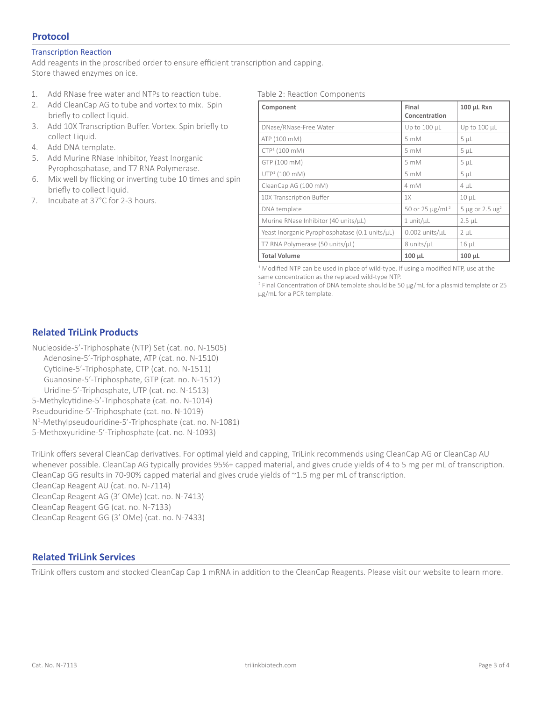# **Protocol**

#### Transcription Reaction

Add reagents in the proscribed order to ensure efficient transcription and capping. Store thawed enzymes on ice.

- 1. Add RNase free water and NTPs to reaction tube.
- 2. Add CleanCap AG to tube and vortex to mix. Spin briefly to collect liquid.
- 3. Add 10X Transcription Buffer. Vortex. Spin briefly to collect Liquid.
- 4. Add DNA template.
- 5. Add Murine RNase Inhibitor, Yeast Inorganic Pyrophosphatase, and T7 RNA Polymerase.
- 6. Mix well by flicking or inverting tube 10 times and spin briefly to collect liquid.
- 7. Incubate at 37°C for 2-3 hours.

Table 2: Reaction Components

| Component                                      | Final<br>Concentration      | 100 µL Rxn                        |
|------------------------------------------------|-----------------------------|-----------------------------------|
| DNase/RNase-Free Water                         | Up to 100 µL                | Up to $100 \mu L$                 |
| ATP (100 mM)                                   | 5 mM                        | $5 \mu L$                         |
| $CTP1$ (100 mM)                                | 5 mM                        | $5 \mu L$                         |
| GTP (100 mM)                                   | 5 mM                        | $5 \mu L$                         |
| $UTP1$ (100 mM)                                | 5 mM                        | 5 <sub>µL</sub>                   |
| CleanCap AG (100 mM)                           | 4 mM                        | $4 \mu L$                         |
| 10X Transcription Buffer                       | 1X                          | $10 \mu L$                        |
| DNA template                                   | 50 or 25 µg/mL <sup>2</sup> | 5 µg or 2.5 $\text{u} \text{g}^2$ |
| Murine RNase Inhibitor (40 units/µL)           | $1$ unit/ $\mu$ L           | $2.5$ $\mu$ L                     |
| Yeast Inorganic Pyrophosphatase (0.1 units/µL) | $0.002$ units/ $\mu$ L      | $2 \mu L$                         |
| T7 RNA Polymerase (50 units/µL)                | 8 units/µL                  | $16 \mu L$                        |
| <b>Total Volume</b>                            | $100 \mu L$                 | $100 \mu L$                       |

<sup>1</sup> Modified NTP can be used in place of wild-type. If using a modified NTP, use at the same concentration as the replaced wild-type NTP.

<sup>2</sup> Final Concentration of DNA template should be 50 μg/mL for a plasmid template or 25 μg/mL for a PCR template.

# **Related TriLink Products**

Nucleoside-5'-Triphosphate (NTP) Set (cat. no. N-1505) Adenosine-5'-Triphosphate, ATP (cat. no. N-1510) Cytidine-5'-Triphosphate, CTP (cat. no. N-1511) Guanosine-5'-Triphosphate, GTP (cat. no. N-1512) Uridine-5'-Triphosphate, UTP (cat. no. N-1513) 5-Methylcytidine-5'-Triphosphate (cat. no. N-1014) Pseudouridine-5'-Triphosphate (cat. no. N-1019) N1 -Methylpseudouridine-5'-Triphosphate (cat. no. N-1081) 5-Methoxyuridine-5'-Triphosphate (cat. no. N-1093)

TriLink offers several CleanCap derivatives. For optimal yield and capping, TriLink recommends using CleanCap AG or CleanCap AU whenever possible. CleanCap AG typically provides 95%+ capped material, and gives crude yields of 4 to 5 mg per mL of transcription. CleanCap GG results in 70-90% capped material and gives crude yields of ~1.5 mg per mL of transcription. CleanCap Reagent AU (cat. no. N-7114)

CleanCap Reagent AG (3' OMe) (cat. no. N-7413) CleanCap Reagent GG (cat. no. N-7133) CleanCap Reagent GG (3' OMe) (cat. no. N-7433)

# **Related TriLink Services**

TriLink offers custom and stocked CleanCap Cap 1 mRNA in addition to the CleanCap Reagents. Please visit our website to learn more.